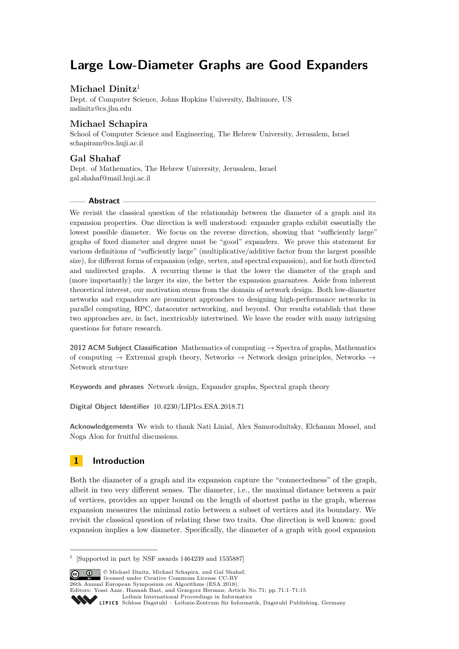# **Large Low-Diameter Graphs are Good Expanders**

# **Michael Dinitz**<sup>1</sup>

Dept. of Computer Science, Johns Hopkins University, Baltimore, US [mdinitz@cs.jhu.edu](mailto:mdinitz@cs.jhu.edu)

# **Michael Schapira**

School of Computer Science and Engineering, The Hebrew University, Jerusalem, Israel [schapiram@cs.huji.ac.il](mailto:schapiram@cs.huji.ac.il)

# **Gal Shahaf**

Dept. of Mathematics, The Hebrew University, Jerusalem, Israel [gal.shahaf@mail.huji.ac.il](mailto:gal.shahaf@mail.huji.ac.il)

## **Abstract**

We revisit the classical question of the relationship between the diameter of a graph and its expansion properties. One direction is well understood: expander graphs exhibit essentially the lowest possible diameter. We focus on the reverse direction, showing that "sufficiently large" graphs of fixed diameter and degree must be "good" expanders. We prove this statement for various definitions of "sufficiently large" (multiplicative/additive factor from the largest possible size), for different forms of expansion (edge, vertex, and spectral expansion), and for both directed and undirected graphs. A recurring theme is that the lower the diameter of the graph and (more importantly) the larger its size, the better the expansion guarantees. Aside from inherent theoretical interest, our motivation stems from the domain of network design. Both low-diameter networks and expanders are prominent approaches to designing high-performance networks in parallel computing, HPC, datacenter networking, and beyond. Our results establish that these two approaches are, in fact, inextricably intertwined. We leave the reader with many intriguing questions for future research.

**2012 ACM Subject Classification** Mathematics of computing → Spectra of graphs, Mathematics of computing  $\rightarrow$  Extremal graph theory, Networks  $\rightarrow$  Network design principles, Networks  $\rightarrow$ Network structure

**Keywords and phrases** Network design, Expander graphs, Spectral graph theory

**Digital Object Identifier** [10.4230/LIPIcs.ESA.2018.71](http://dx.doi.org/10.4230/LIPIcs.ESA.2018.71)

**Acknowledgements** We wish to thank Nati Linial, Alex Samorodnitsky, Elchanan Mossel, and Noga Alon for fruitful discussions.

# **1 Introduction**

Both the diameter of a graph and its expansion capture the "connectedness" of the graph, albeit in two very different senses. The diameter, i.e., the maximal distance between a pair of vertices, provides an upper bound on the length of shortest paths in the graph, whereas expansion measures the minimal ratio between a subset of vertices and its boundary. We revisit the classical question of relating these two traits. One direction is well known: good expansion implies a low diameter. Specifically, the diameter of a graph with good expansion

<sup>1</sup> [Supported in part by NSF awards 1464239 and 1535887]

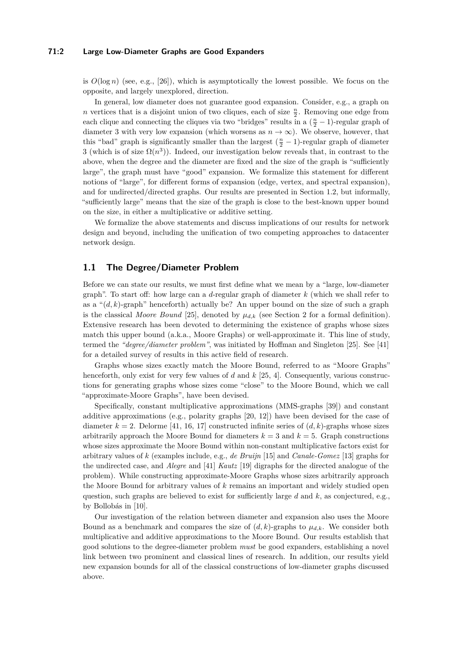#### **71:2 Large Low-Diameter Graphs are Good Expanders**

is  $O(\log n)$  (see, e.g., [\[26\]](#page-13-0)), which is asymptotically the lowest possible. We focus on the opposite, and largely unexplored, direction.

In general, low diameter does not guarantee good expansion. Consider, e.g., a graph on *n* vertices that is a disjoint union of two cliques, each of size  $\frac{n}{2}$ . Removing one edge from each clique and connecting the cliques via two "bridges" results in a  $(\frac{n}{2} - 1)$ -regular graph of diameter 3 with very low expansion (which worsens as  $n \to \infty$ ). We observe, however, that this "bad" graph is significantly smaller than the largest  $(\frac{n}{2} - 1)$ -regular graph of diameter 3 (which is of size  $\Omega(n^3)$ ). Indeed, our investigation below reveals that, in contrast to the above, when the degree and the diameter are fixed and the size of the graph is "sufficiently large", the graph must have "good" expansion. We formalize this statement for different notions of "large", for different forms of expansion (edge, vertex, and spectral expansion), and for undirected/directed graphs. Our results are presented in Section [1.2,](#page-2-0) but informally, "sufficiently large" means that the size of the graph is close to the best-known upper bound on the size, in either a multiplicative or additive setting.

We formalize the above statements and discuss implications of our results for network design and beyond, including the unification of two competing approaches to datacenter network design.

## **1.1 The Degree/Diameter Problem**

Before we can state our results, we must first define what we mean by a "large, low-diameter graph". To start off: how large can a *d*-regular graph of diameter *k* (which we shall refer to as a " $(d, k)$ -graph" henceforth) actually be? An upper bound on the size of such a graph is the classical *Moore Bound* [\[25\]](#page-13-1), denoted by  $\mu_{d,k}$  (see Section [2](#page-4-0) for a formal definition). Extensive research has been devoted to determining the existence of graphs whose sizes match this upper bound (a.k.a., Moore Graphs) or well-approximate it. This line of study, termed the *"degree/diameter problem"*, was initiated by Hoffman and Singleton [\[25\]](#page-13-1). See [\[41\]](#page-13-2) for a detailed survey of results in this active field of research.

Graphs whose sizes exactly match the Moore Bound, referred to as "Moore Graphs" henceforth, only exist for very few values of *d* and *k* [\[25,](#page-13-1) [4\]](#page-12-0). Consequently, various constructions for generating graphs whose sizes come "close" to the Moore Bound, which we call "approximate-Moore Graphs", have been devised.

Specifically, constant multiplicative approximations (MMS-graphs [\[39\]](#page-13-3)) and constant additive approximations (e.g., polarity graphs [\[20,](#page-12-1) [12\]](#page-12-2)) have been devised for the case of diameter  $k = 2$ . Delorme [\[41,](#page-13-2) [16,](#page-12-3) [17\]](#page-12-4) constructed infinite series of  $(d, k)$ -graphs whose sizes arbitrarily approach the Moore Bound for diameters  $k = 3$  and  $k = 5$ . Graph constructions whose sizes approximate the Moore Bound within non-constant multiplicative factors exist for arbitrary values of *k* (examples include, e.g., *de Bruijn* [\[15\]](#page-12-5) and *Canale-Gomez* [\[13\]](#page-12-6) graphs for the undirected case, and *Alegre* and [\[41\]](#page-13-2) *Kautz* [\[19\]](#page-12-7) digraphs for the directed analogue of the problem). While constructing approximate-Moore Graphs whose sizes arbitrarily approach the Moore Bound for arbitrary values of *k* remains an important and widely studied open question, such graphs are believed to exist for sufficiently large *d* and *k*, as conjectured, e.g., by Bollobás in [\[10\]](#page-12-8).

Our investigation of the relation between diameter and expansion also uses the Moore Bound as a benchmark and compares the size of  $(d, k)$ -graphs to  $\mu_{d,k}$ . We consider both multiplicative and additive approximations to the Moore Bound. Our results establish that good solutions to the degree-diameter problem *must* be good expanders, establishing a novel link between two prominent and classical lines of research. In addition, our results yield new expansion bounds for all of the classical constructions of low-diameter graphs discussed above.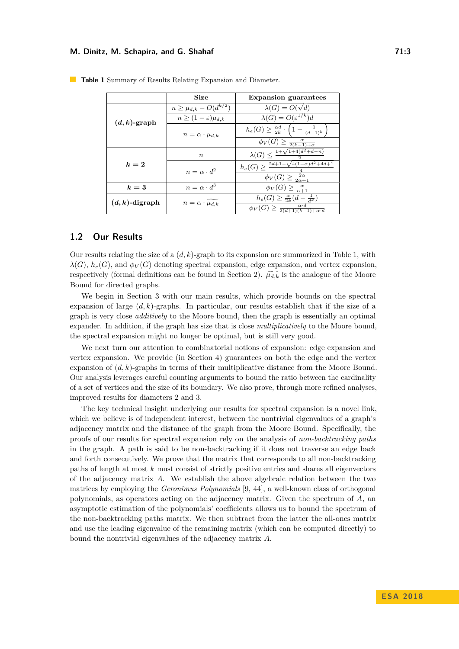|                   | Size                            | <b>Expansion guarantees</b>                                                |  |  |
|-------------------|---------------------------------|----------------------------------------------------------------------------|--|--|
| $(d,k)$ -graph    | $n \geq \mu_{d,k} - O(d^{k/2})$ | $\lambda(G) = O(\sqrt{d})$                                                 |  |  |
|                   | $n>(1-\varepsilon)\mu_{d,k}$    | $\lambda(G) = O(\varepsilon^{1/k})d$                                       |  |  |
|                   | $n = \alpha \cdot \mu_{d,k}$    | $h_e(G) \geq \frac{\alpha d}{2k} \cdot \left(1 - \frac{1}{(d-1)^k}\right)$ |  |  |
|                   |                                 | $\phi_V(G) \geq \frac{\alpha}{2(k-1)+\alpha}$                              |  |  |
| $k=2$             | $\boldsymbol{n}$                | $\lambda(G) \leq \frac{1+\sqrt{1+4(d^2+d-n)}}{2}$                          |  |  |
|                   | $n = \alpha \cdot d^2$          | $h_e(G) \geq \frac{2d+1-\sqrt{4(1-\alpha)d^2+4d+1}}{2}$                    |  |  |
|                   |                                 | $\phi_V(G) \geq \frac{2\alpha}{2\alpha+1}$                                 |  |  |
| $k=3$             | $n = \alpha \cdot d^3$          | $\phi_V(G) \geq \frac{\alpha}{\alpha+1}$                                   |  |  |
| $(d, k)$ -digraph | $n = \alpha \cdot \mu_{d,k}$    | $h_e(G) \geq \frac{\alpha}{2k}(d - \frac{1}{d^k})$                         |  |  |
|                   |                                 | $\phi_V(G) \geq \frac{\alpha \cdot d}{2(d+1)(k-1)+\alpha \cdot d}$         |  |  |

<span id="page-2-1"></span>**Table 1** Summary of Results Relating Expansion and Diameter.

# <span id="page-2-0"></span>**1.2 Our Results**

Our results relating the size of a (*d, k*)-graph to its expansion are summarized in Table [1,](#page-2-1) with  $\lambda(G)$ ,  $h_e(G)$ , and  $\phi_V(G)$  denoting spectral expansion, edge expansion, and vertex expansion, respectively (formal definitions can be found in Section [2\)](#page-4-0).  $\widetilde{\mu_{d,k}}$  is the analogue of the Moore Bound for directed graphs.

We begin in Section [3](#page-5-0) with our main results, which provide bounds on the spectral expansion of large (*d, k*)-graphs. In particular, our results establish that if the size of a graph is very close *additively* to the Moore bound, then the graph is essentially an optimal expander. In addition, if the graph has size that is close *multiplicatively* to the Moore bound, the spectral expansion might no longer be optimal, but is still very good.

We next turn our attention to combinatorial notions of expansion: edge expansion and vertex expansion. We provide (in Section [4\)](#page-9-0) guarantees on both the edge and the vertex expansion of (*d, k*)-graphs in terms of their multiplicative distance from the Moore Bound. Our analysis leverages careful counting arguments to bound the ratio between the cardinality of a set of vertices and the size of its boundary. We also prove, through more refined analyses, improved results for diameters 2 and 3.

The key technical insight underlying our results for spectral expansion is a novel link, which we believe is of independent interest, between the nontrivial eigenvalues of a graph's adjacency matrix and the distance of the graph from the Moore Bound. Specifically, the proofs of our results for spectral expansion rely on the analysis of *non-backtracking paths* in the graph. A path is said to be non-backtracking if it does not traverse an edge back and forth consecutively. We prove that the matrix that corresponds to all non-backtracking paths of length at most *k* must consist of strictly positive entries and shares all eigenvectors of the adjacency matrix *A*. We establish the above algebraic relation between the two matrices by employing the *Geronimus Polynomials* [\[9,](#page-12-9) [44\]](#page-13-4), a well-known class of orthogonal polynomials, as operators acting on the adjacency matrix. Given the spectrum of *A*, an asymptotic estimation of the polynomials' coefficients allows us to bound the spectrum of the non-backtracking paths matrix. We then subtract from the latter the all-ones matrix and use the leading eigenvalue of the remaining matrix (which can be computed directly) to bound the nontrivial eigenvalues of the adjacency matrix *A*.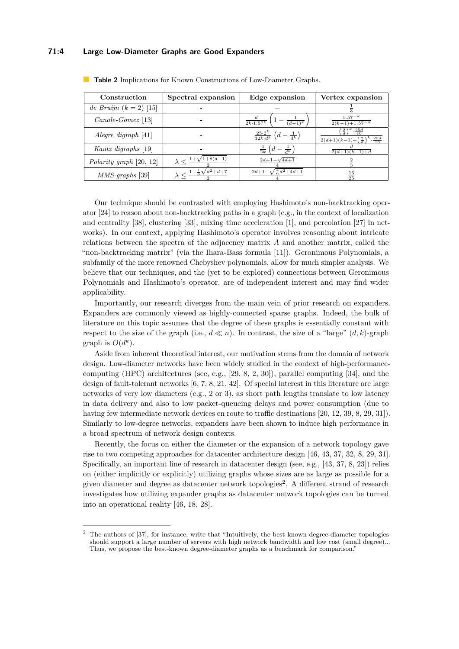# **71:4 Large Low-Diameter Graphs are Good Expanders**

| Construction              | Spectral expansion                                | Edge expansion                                                 | Vertex expansion                                                                                        |
|---------------------------|---------------------------------------------------|----------------------------------------------------------------|---------------------------------------------------------------------------------------------------------|
| de Bruijn $(k = 2)$ [15]  |                                                   |                                                                |                                                                                                         |
| $Canale-Gomez$ [13]       |                                                   | $\frac{a}{2k \cdot 1.57^k} \left(1 - \frac{1}{(d-1)^k}\right)$ | $\frac{1.57^{-k}}{2(k-1)+1.57^{-k}}$                                                                    |
| Alegre digraph $[41]$     |                                                   | $\frac{25\cdot 2^k}{32k\cdot d^k}\left(d-\frac{1}{d^k}\right)$ | $\left(\frac{2}{d}\right)^k \cdot \frac{25d}{16}$<br>$2(d+1)(k-1)+(\frac{2}{d})^k \cdot \frac{25d}{16}$ |
| Kautz digraphs [19]       |                                                   | $\frac{1}{2k}\left(d-\frac{1}{d^k}\right)$                     | $\frac{2(d+1)(k-1)+d}{2}$                                                                               |
| Polarity graph $[20, 12]$ | $\lambda < \frac{1+\sqrt{1+8(d-1)}}{2}$           | $2d+1-\sqrt{4d+1}$                                             |                                                                                                         |
| $MMS$ -graphs [39]        | $\lambda < \frac{1+\frac{1}{3}\sqrt{d^2+d+7}}{2}$ | $2d+1-\sqrt{\frac{4}{9}d^2+4d+1}$                              | $\frac{16}{25}$                                                                                         |

<span id="page-3-1"></span>**Table 2** Implications for Known Constructions of Low-Diameter Graphs.

Our technique should be contrasted with employing Hashimoto's non-backtracking operator [\[24\]](#page-13-5) to reason about non-backtracking paths in a graph (e.g., in the context of localization and centrality [\[38\]](#page-13-6), clustering [\[33\]](#page-13-7), mixing time acceleration [\[1\]](#page-12-10), and percolation [\[27\]](#page-13-8) in networks). In our context, applying Hashimoto's operator involves reasoning about intricate relations between the spectra of the adjacency matrix *A* and another matrix, called the "non-backtracking matrix" (via the Ihara-Bass formula [\[11\]](#page-12-11)). Geronimous Polynomials, a subfamily of the more renowned Chebyshev polynomials, allow for much simpler analysis. We believe that our techniques, and the (yet to be explored) connections between Geronimous Polynomials and Hashimoto's operator, are of independent interest and may find wider applicability.

Importantly, our research diverges from the main vein of prior research on expanders. Expanders are commonly viewed as highly-connected sparse graphs. Indeed, the bulk of literature on this topic assumes that the degree of these graphs is essentially constant with respect to the size of the graph (i.e.,  $d \ll n$ ). In contrast, the size of a "large"  $(d, k)$ -graph graph is  $O(d^k)$ .

Aside from inherent theoretical interest, our motivation stems from the domain of network design. Low-diameter networks have been widely studied in the context of high-performancecomputing (HPC) architectures (see, e.g., [\[29,](#page-13-9) [8,](#page-12-12) [2,](#page-12-13) [30\]](#page-13-10)), parallel computing [\[34\]](#page-13-11), and the design of fault-tolerant networks [\[6,](#page-12-14) [7,](#page-12-15) [8,](#page-12-12) [21,](#page-12-16) [42\]](#page-13-12). Of special interest in this literature are large networks of very low diameters (e.g., 2 or 3), as short path lengths translate to low latency in data delivery and also to low packet-queueing delays and power consumption (due to having few intermediate network devices en route to traffic destinations [\[20,](#page-12-1) [12,](#page-12-2) [39,](#page-13-3) [8,](#page-12-12) [29,](#page-13-9) [31\]](#page-13-13)). Similarly to low-degree networks, expanders have been shown to induce high performance in a broad spectrum of network design contexts.

Recently, the focus on either the diameter or the expansion of a network topology gave rise to two competing approaches for datacenter architecture design [\[46,](#page-14-1) [43,](#page-13-14) [37,](#page-13-15) [32,](#page-13-16) [8,](#page-12-12) [29,](#page-13-9) [31\]](#page-13-13). Specifically, an important line of research in datacenter design (see, e.g., [\[43,](#page-13-14) [37,](#page-13-15) [8,](#page-12-12) [23\]](#page-12-17)) relies on (either implicitly or explicitly) utilizing graphs whose sizes are as large as possible for a given diameter and degree as datacenter network topologies<sup>[2](#page-3-0)</sup>. A different strand of research investigates how utilizing expander graphs as datacenter network topologies can be turned into an operational reality [\[46,](#page-14-1) [18,](#page-12-18) [28\]](#page-13-17).

<span id="page-3-0"></span><sup>2</sup> The authors of [\[37\]](#page-13-15), for instance, write that "Intuitively, the best known degree-diameter topologies should support a large number of servers with high network bandwidth and low cost (small degree)... Thus, we propose the best-known degree-diameter graphs as a benchmark for comparison."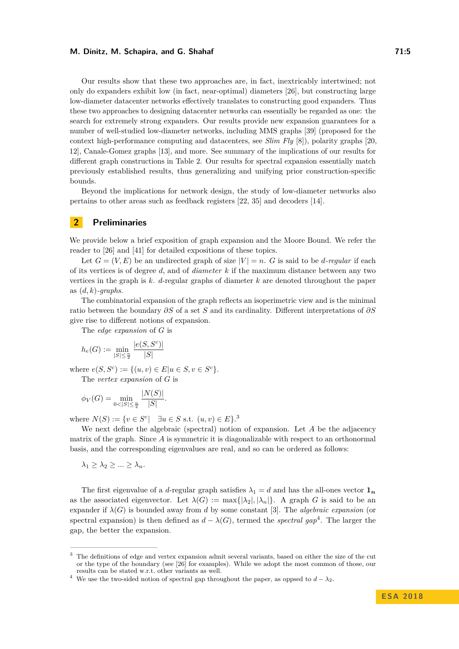Our results show that these two approaches are, in fact, inextricably intertwined; not only do expanders exhibit low (in fact, near-optimal) diameters [\[26\]](#page-13-0), but constructing large low-diameter datacenter networks effectively translates to constructing good expanders. Thus these two approaches to designing datacenter networks can essentially be regarded as one: the search for extremely strong expanders. Our results provide new expansion guarantees for a number of well-studied low-diameter networks, including MMS graphs [\[39\]](#page-13-3) (proposed for the context high-performance computing and datacenters, see *Slim Fly* [\[8\]](#page-12-12)), polarity graphs [\[20,](#page-12-1) [12\]](#page-12-2), Canale-Gomez graphs [\[13\]](#page-12-6), and more. See summary of the implications of our results for different graph constructions in Table [2.](#page-3-1) Our results for spectral expansion essentially match previously established results, thus generalizing and unifying prior construction-specific bounds.

Beyond the implications for network design, the study of low-diameter networks also pertains to other areas such as feedback registers [\[22,](#page-12-19) [35\]](#page-13-18) and decoders [\[14\]](#page-12-20).

## <span id="page-4-0"></span>**2 Preliminaries**

We provide below a brief exposition of graph expansion and the Moore Bound. We refer the reader to [\[26\]](#page-13-0) and [\[41\]](#page-13-2) for detailed expositions of these topics.

Let  $G = (V, E)$  be an undirected graph of size  $|V| = n$ . *G* is said to be *d*-regular if each of its vertices is of degree *d*, and of *diameter k* if the maximum distance between any two vertices in the graph is *k*. *d*-regular graphs of diameter *k* are denoted throughout the paper as (*d, k*)*-graphs*.

The combinatorial expansion of the graph reflects an isoperimetric view and is the minimal ratio between the boundary *∂S* of a set *S* and its cardinality. Different interpretations of *∂S* give rise to different notions of expansion.

The *edge expansion* of *G* is

$$
h_e(G) := \min_{|S| \le \frac{n}{2}} \frac{|e(S, S^c)|}{|S|}
$$

where  $e(S, S^c) := \{(u, v) \in E | u \in S, v \in S^c\}.$ The *vertex expansion* of *G* is

$$
\phi_V(G) = \min_{0 < |S| \le \frac{n}{2}} \frac{|N(S)|}{|S|}.
$$

where  $N(S) := \{v \in S^c | \quad \exists u \in S \text{ s.t. } (u, v) \in E\}$ .

We next define the algebraic (spectral) notion of expansion. Let *A* be the adjacency matrix of the graph. Since *A* is symmetric it is diagonalizable with respect to an orthonormal basis, and the corresponding eigenvalues are real, and so can be ordered as follows:

$$
\lambda_1 \geq \lambda_2 \geq \ldots \geq \lambda_n.
$$

The first eigenvalue of a *d*-regular graph satisfies  $\lambda_1 = d$  and has the all-ones vector  $\mathbf{1}_n$ as the associated eigenvector. Let  $\lambda(G) := \max\{|\lambda_2|, |\lambda_n|\}$ . A graph *G* is said to be an expander if  $\lambda(G)$  is bounded away from *d* by some constant [\[3\]](#page-12-21). The *algebraic expansion* (or spectral expansion) is then defined as  $d - \lambda(G)$ , termed the *spectral gap*<sup>[4](#page-4-2)</sup>. The larger the gap, the better the expansion.

<span id="page-4-1"></span><sup>3</sup> The definitions of edge and vertex expansion admit several variants, based on either the size of the cut or the type of the boundary (see [\[26\]](#page-13-0) for examples). While we adopt the most common of those, our results can be stated w.r.t. other variants as well.

<span id="page-4-2"></span><sup>&</sup>lt;sup>4</sup> We use the two-sided notion of spectral gap throughout the paper, as oppsed to  $d - \lambda_2$ .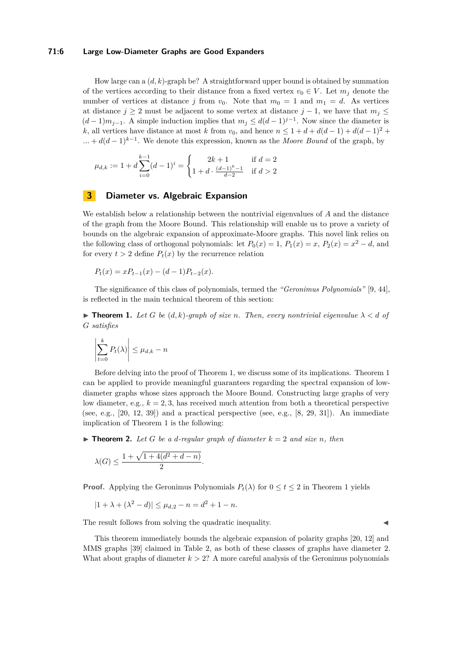#### **71:6 Large Low-Diameter Graphs are Good Expanders**

How large can a (*d, k*)-graph be? A straightforward upper bound is obtained by summation of the vertices according to their distance from a fixed vertex  $v_0 \in V$ . Let  $m_j$  denote the number of vertices at distance *j* from  $v_0$ . Note that  $m_0 = 1$  and  $m_1 = d$ . As vertices at distance  $j \geq 2$  must be adjacent to some vertex at distance  $j - 1$ , we have that  $m_j \leq$  $(d-1)m_{j-1}$ . A simple induction implies that  $m_j \leq d(d-1)^{j-1}$ . Now since the diameter is *k*, all vertices have distance at most *k* from  $v_0$ , and hence  $n \leq 1 + d + d(d-1) + d(d-1)^2 +$  $\dots + d(d-1)^{k-1}$ . We denote this expression, known as the *Moore Bound* of the graph, by

$$
\mu_{d,k} := 1 + d \sum_{i=0}^{k-1} (d-1)^i = \begin{cases} 2k+1 & \text{if } d = 2\\ 1 + d \cdot \frac{(d-1)^k - 1}{d-2} & \text{if } d > 2 \end{cases}
$$

### <span id="page-5-0"></span>**3 Diameter vs. Algebraic Expansion**

We establish below a relationship between the nontrivial eigenvalues of *A* and the distance of the graph from the Moore Bound. This relationship will enable us to prove a variety of bounds on the algebraic expansion of approximate-Moore graphs. This novel link relies on the following class of orthogonal polynomials: let  $P_0(x) = 1$ ,  $P_1(x) = x$ ,  $P_2(x) = x^2 - d$ , and for every  $t > 2$  define  $P_t(x)$  by the recurrence relation

$$
P_t(x) = xP_{t-1}(x) - (d-1)P_{t-2}(x).
$$

The significance of this class of polynomials, termed the *"Geronimus Polynomials"* [\[9,](#page-12-9) [44\]](#page-13-4), is reflected in the main technical theorem of this section:

<span id="page-5-1"></span>**Find 1.** Let G be  $(d, k)$ -graph of size *n*. Then, every nontrivial eigenvalue  $\lambda < d$  of *G satisfies*

$$
\left|\sum_{t=0}^{k} P_t(\lambda)\right| \leq \mu_{d,k} - n
$$

Before delving into the proof of Theorem [1,](#page-5-1) we discuss some of its implications. Theorem [1](#page-5-1) can be applied to provide meaningful guarantees regarding the spectral expansion of lowdiameter graphs whose sizes approach the Moore Bound. Constructing large graphs of very low diameter, e.g.,  $k = 2, 3$ , has received much attention from both a theoretical perspective (see, e.g.,  $[20, 12, 39]$  $[20, 12, 39]$  $[20, 12, 39]$  $[20, 12, 39]$  $[20, 12, 39]$ ) and a practical perspective (see, e.g.,  $[8, 29, 31]$  $[8, 29, 31]$  $[8, 29, 31]$  $[8, 29, 31]$  $[8, 29, 31]$ ). An immediate implication of Theorem [1](#page-5-1) is the following:

 $\triangleright$  **Theorem 2.** Let G be a d-regular graph of diameter  $k = 2$  and size *n*, then

$$
\lambda(G) \le \frac{1 + \sqrt{1 + 4(d^2 + d - n)}}{2}.
$$

**Proof.** Applying the Geronimus Polynomials  $P_t(\lambda)$  for  $0 \le t \le 2$  in Theorem [1](#page-5-1) yields

$$
|1 + \lambda + (\lambda^2 - d)| \le \mu_{d,2} - n = d^2 + 1 - n.
$$

The result follows from solving the quadratic inequality.

This theorem immediately bounds the algebraic expansion of polarity graphs [\[20,](#page-12-1) [12\]](#page-12-2) and MMS graphs [\[39\]](#page-13-3) claimed in Table [2,](#page-3-1) as both of these classes of graphs have diameter 2. What about graphs of diameter  $k > 2$ ? A more careful analysis of the Geronimus polynomials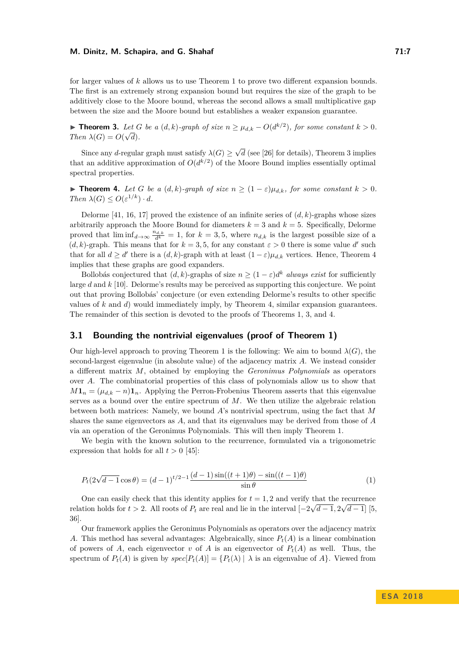for larger values of *k* allows us to use Theorem [1](#page-5-1) to prove two different expansion bounds. The first is an extremely strong expansion bound but requires the size of the graph to be additively close to the Moore bound, whereas the second allows a small multiplicative gap between the size and the Moore bound but establishes a weaker expansion guarantee.

<span id="page-6-0"></span>**► Theorem 3.** Let *G* be a  $(d, k)$ -graph of size  $n \geq \mu_{d,k} - O(d^{k/2})$ , for some constant  $k > 0$ . *Then*  $\lambda(G) = O(\sqrt{d}).$ 

Since any *d*-regular graph must satisfy  $\lambda(G) \geq$ √ *d* (see [\[26\]](#page-13-0) for details), Theorem [3](#page-6-0) implies that an additive approximation of  $O(d^{k/2})$  of the Moore Bound implies essentially optimal spectral properties.

<span id="page-6-1"></span>**► Theorem 4.** *Let G be a*  $(d, k)$ *-graph of size*  $n \geq (1 - \varepsilon)\mu_{d,k}$ *, for some constant*  $k > 0$ *.*  $Then \lambda(G) \leq O(\varepsilon^{1/k}) \cdot d.$ 

Delorme [\[41,](#page-13-2) [16,](#page-12-3) [17\]](#page-12-4) proved the existence of an infinite series of  $(d, k)$ -graphs whose sizes arbitrarily approach the Moore Bound for diameters  $k = 3$  and  $k = 5$ . Specifically, Delorme proved that  $\liminf_{d\to\infty} \frac{n_{d,k}}{d^k} = 1$ , for  $k = 3, 5$ , where  $n_{d,k}$  is the largest possible size of a  $(d, k)$ -graph. This means that for  $k = 3, 5$ , for any constant  $\varepsilon > 0$  there is some value d' such that for all  $d \geq d'$  there is a  $(d, k)$ -graph with at least  $(1 - \varepsilon)\mu_{d,k}$  vertices. Hence, Theorem [4](#page-6-1) implies that these graphs are good expanders.

Bollobás conjectured that  $(d, k)$ -graphs of size  $n \geq (1 - \varepsilon)d^k$  *always exist* for sufficiently large *d* and *k* [\[10\]](#page-12-8). Delorme's results may be perceived as supporting this conjecture. We point out that proving Bollobás' conjecture (or even extending Delorme's results to other specific values of *k* and *d*) would immediately imply, by Theorem [4,](#page-6-1) similar expansion guarantees. The remainder of this section is devoted to the proofs of Theorems [1,](#page-5-1) [3,](#page-6-0) and [4.](#page-6-1)

# **3.1 Bounding the nontrivial eigenvalues (proof of Theorem [1\)](#page-5-1)**

Our high-level approach to proving Theorem [1](#page-5-1) is the following: We aim to bound  $\lambda(G)$ , the second-largest eigenvalue (in absolute value) of the adjacency matrix *A*. We instead consider a different matrix *M*, obtained by employing the *Geronimus Polynomials* as operators over *A*. The combinatorial properties of this class of polynomials allow us to show that  $M\mathbf{1}_n = (\mu_{d,k} - n)\mathbf{1}_n$ . Applying the Perron-Frobenius Theorem asserts that this eigenvalue serves as a bound over the entire spectrum of *M*. We then utilize the algebraic relation between both matrices: Namely, we bound *A*'s nontrivial spectrum, using the fact that *M* shares the same eigenvectors as *A*, and that its eigenvalues may be derived from those of *A* via an operation of the Geronimus Polynomials. This will then imply Theorem [1.](#page-5-1)

<span id="page-6-2"></span>We begin with the known solution to the recurrence, formulated via a trigonometric expression that holds for all  $t > 0$  [\[45\]](#page-14-2):

$$
P_t(2\sqrt{d-1}\cos\theta) = (d-1)^{t/2-1}\frac{(d-1)\sin((t+1)\theta) - \sin((t-1)\theta)}{\sin\theta}
$$
 (1)

One can easily check that this identity applies for  $t = 1, 2$  and verify that the recurrence relation holds for  $t > 2$ . All roots of  $P_t$  are real and lie in the interval  $\left[-2\sqrt{d-1}, 2\sqrt{d-1}\right]$  [\[5,](#page-12-22) [36\]](#page-13-19).

Our framework applies the Geronimus Polynomials as operators over the adjacency matrix *A*. This method has several advantages: Algebraically, since *Pt*(*A*) is a linear combination of powers of *A*, each eigenvector *v* of *A* is an eigenvector of  $P_t(A)$  as well. Thus, the spectrum of  $P_t(A)$  is given by  $spec[P_t(A)] = {P_t(\lambda) | \lambda}$  is an eigenvalue of A. Viewed from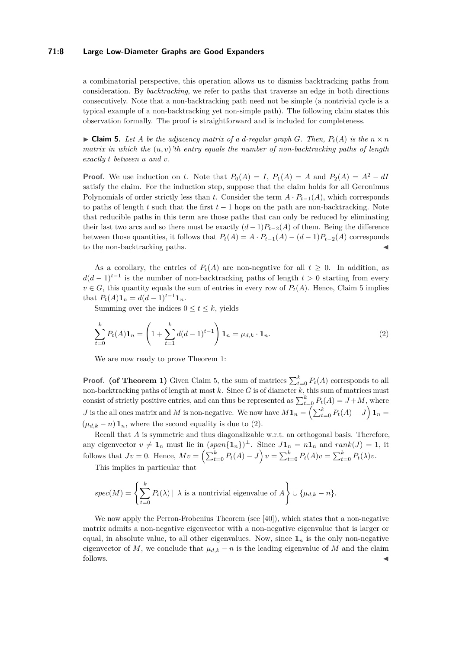#### **71:8 Large Low-Diameter Graphs are Good Expanders**

a combinatorial perspective, this operation allows us to dismiss backtracking paths from consideration. By *backtracking*, we refer to paths that traverse an edge in both directions consecutively. Note that a non-backtracking path need not be simple (a nontrivial cycle is a typical example of a non-backtracking yet non-simple path). The following claim states this observation formally. The proof is straightforward and is included for completeness.

<span id="page-7-0"></span> $\triangleright$  **Claim 5.** Let A be the adjacency matrix of a *d*-regular graph *G*. Then,  $P_t(A)$  is the  $n \times n$ *matrix in which the* (*u, v*)*'th entry equals the number of non-backtracking paths of length exactly t between u and v.*

**Proof.** We use induction on *t*. Note that  $P_0(A) = I$ ,  $P_1(A) = A$  and  $P_2(A) = A^2 - dI$ satisfy the claim. For the induction step, suppose that the claim holds for all Geronimus Polynomials of order strictly less than *t*. Consider the term  $A \cdot P_{t-1}(A)$ , which corresponds to paths of length *t* such that the first  $t-1$  hops on the path are non-backtracking. Note that reducible paths in this term are those paths that can only be reduced by eliminating their last two arcs and so there must be exactly  $(d-1)P_{t-2}(A)$  of them. Being the difference between those quantities, it follows that  $P_t(A) = A \cdot P_{t-1}(A) - (d-1)P_{t-2}(A)$  corresponds to the non-backtracking paths.

As a corollary, the entries of  $P_t(A)$  are non-negative for all  $t \geq 0$ . In addition, as  $d(d-1)^{t-1}$  is the number of non-backtracking paths of length  $t > 0$  starting from every  $v \in G$ , this quantity equals the sum of entries in every row of  $P_t(A)$ . Hence, Claim [5](#page-7-0) implies that  $P_t(A)\mathbf{1}_n = d(d-1)^{t-1}\mathbf{1}_n$ .

<span id="page-7-1"></span>Summing over the indices  $0 \le t \le k$ , yields

$$
\sum_{t=0}^{k} P_t(A) \mathbf{1}_n = \left( 1 + \sum_{t=1}^{k} d(d-1)^{t-1} \right) \mathbf{1}_n = \mu_{d,k} \cdot \mathbf{1}_n. \tag{2}
$$

We are now ready to prove Theorem [1:](#page-5-1)

**Proof.** (of Theorem [1\)](#page-5-1) Given Claim [5,](#page-7-0) the sum of matrices  $\sum_{t=0}^{k} P_t(A)$  corresponds to all non-backtracking paths of length at most *k*. Since *G* is of diameter *k*, this sum of matrices must consist of strictly positive entries, and can thus be represented as  $\sum_{t=0}^{k} P_t(A) = J + M$ , where *J* is the all ones matrix and *M* is non-negative. We now have  $M\mathbf{1}_n = \left(\sum_{t=0}^k P_t(A) - J\right)\mathbf{1}_n =$  $(\mu_{d,k} - n) \mathbf{1}_n$ , where the second equality is due to [\(2\)](#page-7-1).

Recall that *A* is symmetric and thus diagonalizable w.r.t. an orthogonal basis. Therefore, any eigenvector  $v \neq 1$ <sup>*n*</sup> must lie in  $(span{1n})^{\perp}$ . Since  $J1_n = n1$ <sup>*n*</sup> and  $rank(J) = 1$ , it follows that  $Jv = 0$ . Hence,  $Mv = \left(\sum_{t=0}^{k} P_t(A) - J\right)v = \sum_{t=0}^{k} P_t(A)v = \sum_{t=0}^{k} P_t(\lambda)v$ .

This implies in particular that

$$
spec(M) = \left\{ \sum_{t=0}^{k} P_t(\lambda) \mid \lambda \text{ is a nontrivial eigenvalue of } A \right\} \cup \{\mu_{d,k} - n\}.
$$

We now apply the Perron-Frobenius Theorem (see [\[40\]](#page-13-20)), which states that a non-negative matrix admits a non-negative eigenvector with a non-negative eigenvalue that is larger or equal, in absolute value, to all other eigenvalues. Now, since  $\mathbf{1}_n$  is the only non-negative eigenvector of *M*, we conclude that  $\mu_{d,k} - n$  is the leading eigenvalue of *M* and the claim follows.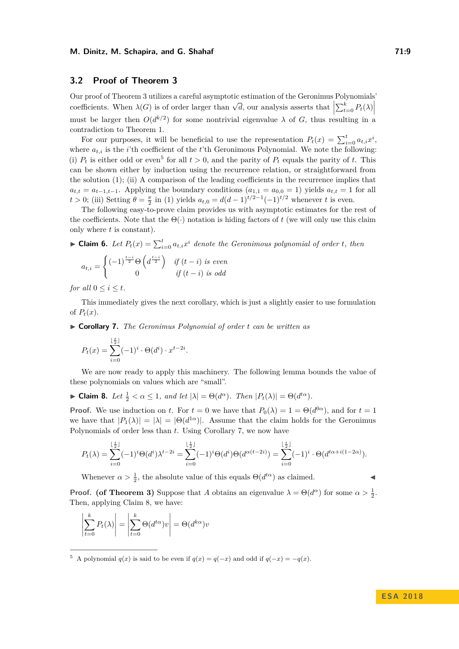# **3.2 Proof of Theorem [3](#page-6-0)**

Our proof of Theorem [3](#page-6-0) utilizes a careful asymptotic estimation of the Geronimus Polynomials' coefficients. When  $\lambda(G)$  is of order larger than  $\sqrt{d}$ , our analysis asserts that  $\left| \sum_{t=0}^{k} P_t(\lambda) \right|$  $|\frac{2t}{t} = 0 - \frac{1}{t}$ must be larger then  $O(d^{k/2})$  for some nontrivial eigenvalue  $\lambda$  of  $G$ , thus resulting in a contradiction to Theorem [1.](#page-5-1)

For our purposes, it will be beneficial to use the representation  $P_t(x) = \sum_{i=0}^t a_{t,i} x^i$ , where  $a_{t,i}$  is the *i*'th coefficient of the *t*'th Geronimous Polynomial. We note the following: (i)  $P_t$  is either odd or even<sup>[5](#page-8-0)</sup> for all  $t > 0$ , and the parity of  $P_t$  equals the parity of *t*. This can be shown either by induction using the recurrence relation, or straightforward from the solution  $(1)$ ; (ii) A comparison of the leading coefficients in the recurrence implies that  $a_{t,t} = a_{t-1,t-1}$ . Applying the boundary conditions  $(a_{1,1} = a_{0,0} = 1)$  yields  $a_{t,t} = 1$  for all *t* > 0; (iii) Setting  $\theta = \frac{\pi}{2}$  in [\(1\)](#page-6-2) yields  $a_{t,0} = d(d-1)^{t/2-1}(-1)^{t/2}$  whenever *t* is even.

The following easy-to-prove claim provides us with asymptotic estimates for the rest of the coefficients. Note that the  $\Theta(\cdot)$  notation is hiding factors of *t* (we will only use this claim only where *t* is constant).

► **Claim 6.** *Let*  $P_t(x) = \sum_{i=0}^t a_{t,i}x^i$  *denote the Geronimous polynomial of order t, then* 

$$
a_{t,i} = \begin{cases} (-1)^{\frac{t-i}{2}} \Theta\left(d^{\frac{t-i}{2}}\right) & \text{if } (t-i) \text{ is even} \\ 0 & \text{if } (t-i) \text{ is odd} \end{cases}
$$

*for all*  $0 \leq i \leq t$ *.* 

This immediately gives the next corollary, which is just a slightly easier to use formulation of  $P_t(x)$ .

<span id="page-8-1"></span>I **Corollary 7.** *The Geronimus Polynomial of order t can be written as*

$$
P_t(x) = \sum_{i=0}^{\lfloor \frac{t}{2} \rfloor} (-1)^i \cdot \Theta(d^i) \cdot x^{t-2i}.
$$

We are now ready to apply this machinery. The following lemma bounds the value of these polynomials on values which are "small".

<span id="page-8-2"></span>► **Claim 8.** *Let*  $\frac{1}{2} < \alpha \leq 1$ *, and let*  $|\lambda| = \Theta(d^{\alpha})$ *. Then*  $|P_t(\lambda)| = \Theta(d^{t\alpha})$ *.* 

**Proof.** We use induction on *t*. For  $t = 0$  we have that  $P_0(\lambda) = 1 = \Theta(d^{0\alpha})$ , and for  $t = 1$ we have that  $|P_1(\lambda)| = |\lambda| = |\Theta(d^{1\alpha})|$ . Assume that the claim holds for the Geronimus Polynomials of order less than *t*. Using Corollary [7,](#page-8-1) we now have

$$
P_t(\lambda) = \sum_{i=0}^{\lfloor \frac{t}{2} \rfloor} (-1)^i \Theta(d^i) \lambda^{t-2i} = \sum_{i=0}^{\lfloor \frac{t}{2} \rfloor} (-1)^i \Theta(d^i) \Theta(d^{\alpha(t-2i)}) = \sum_{i=0}^{\lfloor \frac{t}{2} \rfloor} (-1)^i \cdot \Theta(d^{t\alpha+i(1-2\alpha)}).
$$

Whenever  $\alpha > \frac{1}{2}$ , the absolute value of this equals  $\Theta(d^{t\alpha})$  as claimed.

**Proof.** (of Theorem [3\)](#page-6-0) Suppose that *A* obtains an eigenvalue  $\lambda = \Theta(d^{\alpha})$  for some  $\alpha > \frac{1}{2}$ . Then, applying Claim [8,](#page-8-2) we have:

$$
\left|\sum_{t=0}^{k} P_t(\lambda)\right| = \left|\sum_{t=0}^{k} \Theta(d^{t\alpha})v\right| = \Theta(d^{k\alpha})v
$$

<span id="page-8-0"></span><sup>5</sup> A polynomial  $q(x)$  is said to be even if  $q(x) = q(-x)$  and odd if  $q(-x) = -q(x)$ .

#### **E S A 2 0 1 8**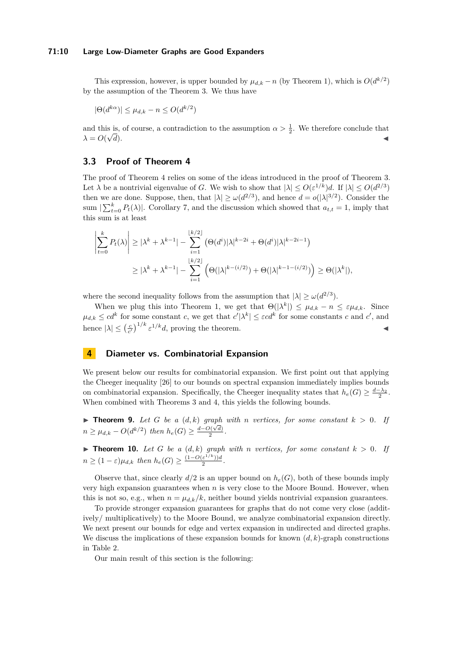#### **71:10 Large Low-Diameter Graphs are Good Expanders**

This expression, however, is upper bounded by  $\mu_{d,k} - n$  (by Theorem [1\)](#page-5-1), which is  $O(d^{k/2})$ by the assumption of the Theorem [3.](#page-6-0) We thus have

$$
|\Theta(d^{k\alpha})| \le \mu_{d,k} - n \le O(d^{k/2})
$$

and this is, of course, a contradiction to the assumption  $\alpha > \frac{1}{2}$ . We therefore conclude that  $\lambda = O(\sqrt{d}).$  $\overline{d}$ ).

## **3.3 Proof of Theorem [4](#page-6-1)**

The proof of Theorem [4](#page-6-1) relies on some of the ideas introduced in the proof of Theorem [3.](#page-6-0) Let  $\lambda$  be a nontrivial eigenvalue of *G*. We wish to show that  $|\lambda| \leq O(\varepsilon^{1/k})d$ . If  $|\lambda| \leq O(d^{2/3})$ then we are done. Suppose, then, that  $|\lambda| \ge \omega(d^{2/3})$ , and hence  $d = o(|\lambda|^{3/2})$ . Consider the sum  $\sum_{t=0}^{k} P_t(\lambda)$ . Corollary [7,](#page-8-1) and the discussion which showed that  $a_{t,t} = 1$ , imply that this sum is at least

$$
\left|\sum_{t=0}^k P_t(\lambda)\right| \ge |\lambda^k + \lambda^{k-1}| - \sum_{i=1}^{\lfloor k/2 \rfloor} \left(\Theta(d^i)|\lambda|^{k-2i} + \Theta(d^i)|\lambda|^{k-2i-1}\right)
$$
  

$$
\ge |\lambda^k + \lambda^{k-1}| - \sum_{i=1}^{\lfloor k/2 \rfloor} \left(\Theta(|\lambda|^{k-(i/2)}) + \Theta(|\lambda|^{k-1-(i/2)})\right) \ge \Theta(|\lambda^k|),
$$

where the second inequality follows from the assumption that  $|\lambda| \ge \omega(d^{2/3})$ .

When we plug this into Theorem [1,](#page-5-1) we get that  $\Theta(|\lambda^k|) \leq \mu_{d,k} - n \leq \varepsilon \mu_{d,k}$ . Since  $\mu_{d,k} \leq c d^k$  for some constant *c*, we get that  $c'|\lambda^k| \leq \varepsilon c d^k$  for some constants *c* and  $c'$ , and hence  $|\lambda| \leq \left(\frac{c}{c'}\right)^{1/k} \varepsilon^{1/k} d$ , proving the theorem.

# <span id="page-9-0"></span>**4 Diameter vs. Combinatorial Expansion**

We present below our results for combinatorial expansion. We first point out that applying the Cheeger inequality [\[26\]](#page-13-0) to our bounds on spectral expansion immediately implies bounds on combinatorial expansion. Specifically, the Cheeger inequality states that  $h_e(G) \geq \frac{d-\lambda_2}{2}$ . When combined with Theorems [3](#page-6-0) and [4,](#page-6-1) this yields the following bounds.

▶ **Theorem 9.** *Let G be a*  $(d,k)$  *graph with n vertices, for some constant*  $k > 0$ . *If n* ≥  $\mu_{d,k}$  − *O*( $d^{k/2}$ ) *then*  $h_e(G)$  ≥  $\frac{d-O(\sqrt{d})}{2}$  $\frac{\nu(\vee a)}{2}$ .

**Findment 10.** Let G be a  $(d, k)$  graph with *n* vertices, for some constant  $k > 0$ . If  $n \geq (1 - \varepsilon)\mu_{d,k}$  *then*  $h_e(G) \geq \frac{(1 - O(\varepsilon^{1/k}))d}{2}$  $\frac{\varepsilon^{(-)}(x)}{2}$ .

Observe that, since clearly  $d/2$  is an upper bound on  $h_e(G)$ , both of these bounds imply very high expansion guarantees when *n* is very close to the Moore Bound. However, when this is not so, e.g., when  $n = \mu_{d,k}/k$ , neither bound yields nontrivial expansion guarantees.

To provide stronger expansion guarantees for graphs that do not come very close (additively/ multiplicatively) to the Moore Bound, we analyze combinatorial expansion directly. We next present our bounds for edge and vertex expansion in undirected and directed graphs. We discuss the implications of these expansion bounds for known  $(d, k)$ -graph constructions in Table [2.](#page-3-1)

Our main result of this section is the following: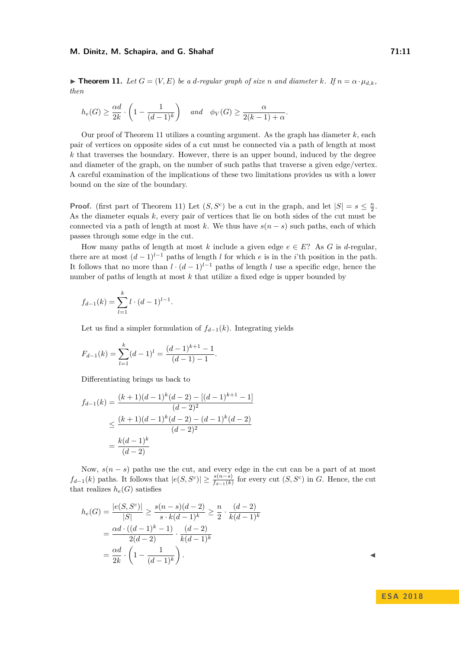<span id="page-10-0"></span> $\triangleright$  **Theorem 11.** Let  $G = (V, E)$  be a *d*-regular graph of size *n* and diameter  $k$ *.* If  $n = \alpha \cdot \mu_{d,k}$ , *then*

$$
h_e(G) \ge \frac{\alpha d}{2k} \cdot \left(1 - \frac{1}{(d-1)^k}\right) \quad \text{and} \quad \phi_V(G) \ge \frac{\alpha}{2(k-1) + \alpha}.
$$

Our proof of Theorem [11](#page-10-0) utilizes a counting argument. As the graph has diameter  $k$ , each pair of vertices on opposite sides of a cut must be connected via a path of length at most *k* that traverses the boundary. However, there is an upper bound, induced by the degree and diameter of the graph, on the number of such paths that traverse a given edge/vertex. A careful examination of the implications of these two limitations provides us with a lower bound on the size of the boundary.

**Proof.** (first part of Theorem [11\)](#page-10-0) Let  $(S, S^c)$  be a cut in the graph, and let  $|S| = s \leq \frac{n}{2}$ . As the diameter equals *k*, every pair of vertices that lie on both sides of the cut must be connected via a path of length at most *k*. We thus have  $s(n-s)$  such paths, each of which passes through some edge in the cut.

How many paths of length at most *k* include a given edge  $e \in E$ ? As *G* is *d*-regular, there are at most  $(d-1)^{l-1}$  paths of length *l* for which *e* is in the *i*'th position in the path. It follows that no more than  $l \cdot (d-1)^{l-1}$  paths of length *l* use a specific edge, hence the number of paths of length at most *k* that utilize a fixed edge is upper bounded by

$$
f_{d-1}(k) = \sum_{l=1}^{k} l \cdot (d-1)^{l-1}.
$$

Let us find a simpler formulation of  $f_{d-1}(k)$ . Integrating yields

$$
F_{d-1}(k) = \sum_{l=1}^{k} (d-1)^l = \frac{(d-1)^{k+1} - 1}{(d-1) - 1}.
$$

Differentiating brings us back to

$$
f_{d-1}(k) = \frac{(k+1)(d-1)^k(d-2) - [(d-1)^{k+1} - 1]}{(d-2)^2}
$$
  
 
$$
\leq \frac{(k+1)(d-1)^k(d-2) - (d-1)^k(d-2)}{(d-2)^2}
$$
  
 
$$
= \frac{k(d-1)^k}{(d-2)}
$$

Now,  $s(n-s)$  paths use the cut, and every edge in the cut can be a part of at most *f*<sub>*d*−1</sub>(*k*) paths. It follows that  $|e(S, S^c)| \geq \frac{s(n-s)}{f_{d-1}(k)}$  for every cut  $(S, S^c)$  in *G*. Hence, the cut that realizes  $h_e(G)$  satisfies

$$
h_e(G) = \frac{|e(S, S^c)|}{|S|} \ge \frac{s(n-s)(d-2)}{s \cdot k(d-1)^k} \ge \frac{n}{2} \cdot \frac{(d-2)}{k(d-1)^k}
$$
  
= 
$$
\frac{\alpha d \cdot ((d-1)^k - 1)}{2(d-2)} \cdot \frac{(d-2)}{k(d-1)^k}
$$
  
= 
$$
\frac{\alpha d}{2k} \cdot \left(1 - \frac{1}{(d-1)^k}\right).
$$

# **E S A 2 0 1 8**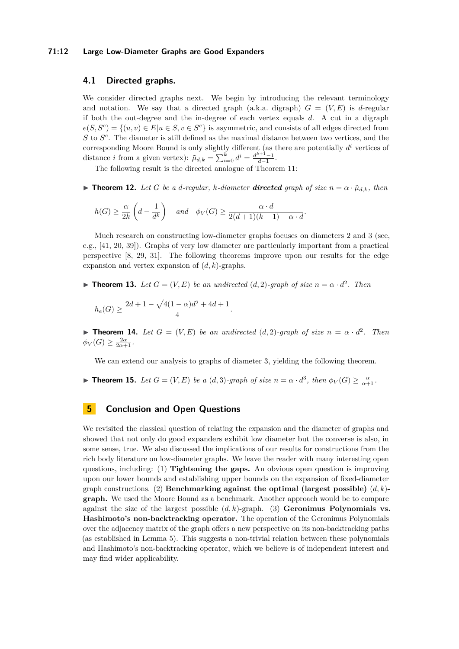#### **71:12 Large Low-Diameter Graphs are Good Expanders**

# **4.1 Directed graphs.**

We consider directed graphs next. We begin by introducing the relevant terminology and notation. We say that a directed graph (a.k.a. digraph)  $G = (V, E)$  is *d*-regular if both the out-degree and the in-degree of each vertex equals *d*. A cut in a digraph  $e(S, S^c) = \{(u, v) \in E | u \in S, v \in S^c\}$  is asymmetric, and consists of all edges directed from *S* to *S c* . The diameter is still defined as the maximal distance between two vertices, and the corresponding Moore Bound is only slightly different (as there are potentially *d <sup>i</sup>* vertices of distance *i* from a given vertex):  $\tilde{\mu}_{d,k} = \sum_{i=0}^{k} d^{i} = \frac{d^{k+1}-1}{d-1}$ .

The following result is the directed analogue of Theorem [11:](#page-10-0)

**Figure 12.** *Let G be a d-regular, k-diameter directed graph of size*  $n = \alpha \cdot \tilde{\mu}_{d,k}$ *, then* 

*.*

$$
h(G) \ge \frac{\alpha}{2k} \left( d - \frac{1}{d^k} \right) \quad \text{and} \quad \phi_V(G) \ge \frac{\alpha \cdot d}{2(d+1)(k-1) + \alpha \cdot d}
$$

Much research on constructing low-diameter graphs focuses on diameters 2 and 3 (see, e.g., [\[41,](#page-13-2) [20,](#page-12-1) [39\]](#page-13-3)). Graphs of very low diameter are particularly important from a practical perspective [\[8,](#page-12-12) [29,](#page-13-9) [31\]](#page-13-13). The following theorems improve upon our results for the edge expansion and vertex expansion of (*d, k*)-graphs.

**Findment 13.** Let  $G = (V, E)$  be an undirected  $(d, 2)$ -graph of size  $n = \alpha \cdot d^2$ . Then

*.*

$$
h_e(G) \ge \frac{2d+1 - \sqrt{4(1-\alpha)d^2 + 4d + 1}}{4}
$$

**Find 14.** *Let*  $G = (V, E)$  *be an undirected*  $(d, 2)$ *-graph of size*  $n = \alpha \cdot d^2$ *. Then*  $\phi_V(G) \geq \frac{2\alpha}{2\alpha+1}$ .

We can extend our analysis to graphs of diameter 3, yielding the following theorem.

► **Theorem 15.** Let  $G = (V, E)$  be a  $(d, 3)$ -graph of size  $n = \alpha \cdot d^3$ , then  $\phi_V(G) \geq \frac{\alpha}{\alpha+1}$ .

# **5 Conclusion and Open Questions**

We revisited the classical question of relating the expansion and the diameter of graphs and showed that not only do good expanders exhibit low diameter but the converse is also, in some sense, true. We also discussed the implications of our results for constructions from the rich body literature on low-diameter graphs. We leave the reader with many interesting open questions, including: (1) **Tightening the gaps.** An obvious open question is improving upon our lower bounds and establishing upper bounds on the expansion of fixed-diameter graph constructions. (2) **Benchmarking against the optimal (largest possible)** (*d, k*) **graph.** We used the Moore Bound as a benchmark. Another approach would be to compare against the size of the largest possible  $(d, k)$ -graph. (3) **Geronimus Polynomials vs. Hashimoto's non-backtracking operator.** The operation of the Geronimus Polynomials over the adjacency matrix of the graph offers a new perspective on its non-backtracking paths (as established in Lemma [5\)](#page-7-0). This suggests a non-trivial relation between these polynomials and Hashimoto's non-backtracking operator, which we believe is of independent interest and may find wider applicability.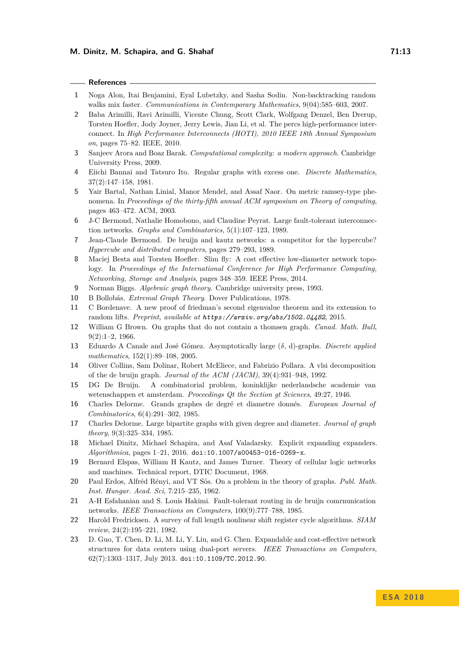#### **References**

- <span id="page-12-10"></span>**1** Noga Alon, Itai Benjamini, Eyal Lubetzky, and Sasha Sodin. Non-backtracking random walks mix faster. *Communications in Contemporary Mathematics*, 9(04):585–603, 2007.
- <span id="page-12-13"></span>**2** Baba Arimilli, Ravi Arimilli, Vicente Chung, Scott Clark, Wolfgang Denzel, Ben Drerup, Torsten Hoefler, Jody Joyner, Jerry Lewis, Jian Li, et al. The percs high-performance interconnect. In *High Performance Interconnects (HOTI), 2010 IEEE 18th Annual Symposium on*, pages 75–82. IEEE, 2010.
- <span id="page-12-21"></span>**3** Sanjeev Arora and Boaz Barak. *Computational complexity: a modern approach*. Cambridge University Press, 2009.
- <span id="page-12-0"></span>**4** Eiichi Bannai and Tatsuro Ito. Regular graphs with excess one. *Discrete Mathematics*, 37(2):147–158, 1981.
- <span id="page-12-22"></span>**5** Yair Bartal, Nathan Linial, Manor Mendel, and Assaf Naor. On metric ramsey-type phenomena. In *Proceedings of the thirty-fifth annual ACM symposium on Theory of computing*, pages 463–472. ACM, 2003.
- <span id="page-12-14"></span>**6** J-C Bermond, Nathalie Homobono, and Claudine Peyrat. Large fault-tolerant interconnection networks. *Graphs and Combinatorics*, 5(1):107–123, 1989.
- <span id="page-12-15"></span>**7** Jean-Claude Bermond. De bruijn and kautz networks: a competitor for the hypercube? *Hypercube and distributed computers*, pages 279–293, 1989.
- <span id="page-12-12"></span>**8** Maciej Besta and Torsten Hoefler. Slim fly: A cost effective low-diameter network topology. In *Proceedings of the International Conference for High Performance Computing, Networking, Storage and Analysis*, pages 348–359. IEEE Press, 2014.
- <span id="page-12-9"></span>**9** Norman Biggs. *Algebraic graph theory*. Cambridge university press, 1993.
- <span id="page-12-8"></span>**10** B Bollobás. *Extremal Graph Theory*. Dover Publications, 1978.
- <span id="page-12-11"></span>**11** C Bordenave. A new proof of friedman's second eigenvalue theorem and its extension to random lifts. *Preprint, available at https://arxiv.org/abs/1502.04482*, 2015.
- <span id="page-12-2"></span>**12** William G Brown. On graphs that do not contain a thomsen graph. *Canad. Math. Bull*, 9(2):1–2, 1966.
- <span id="page-12-6"></span>**13** Eduardo A Canale and José Gómez. Asymptotically large (*δ*, d)-graphs. *Discrete applied mathematics*, 152(1):89–108, 2005.
- <span id="page-12-20"></span>**14** Oliver Collins, Sam Dolinar, Robert McEliece, and Fabrizio Pollara. A vlsi decomposition of the de bruijn graph. *Journal of the ACM (JACM)*, 39(4):931–948, 1992.
- <span id="page-12-5"></span>**15** DG De Bruijn. A combinatorial problem, koninklijke nederlandsche academie van wetenschappen et amsterdam. *Proceedings Qt the Section gt Sciences*, 49:27, 1946.
- <span id="page-12-3"></span>**16** Charles Delorme. Grands graphes de degré et diametre donnés. *European Journal of Combinatorics*, 6(4):291–302, 1985.
- <span id="page-12-4"></span>**17** Charles Delorme. Large bipartite graphs with given degree and diameter. *Journal of graph theory*, 9(3):325–334, 1985.
- <span id="page-12-18"></span>**18** Michael Dinitz, Michael Schapira, and Asaf Valadarsky. Explicit expanding expanders. *Algorithmica*, pages 1–21, 2016. [doi:10.1007/s00453-016-0269-x](http://dx.doi.org/10.1007/s00453-016-0269-x).
- <span id="page-12-7"></span>**19** Bernard Elspas, William H Kautz, and James Turner. Theory of cellular logic networks and machines. Technical report, DTIC Document, 1968.
- <span id="page-12-1"></span>**20** Paul Erdos, Alfréd Rényi, and VT Sós. On a problem in the theory of graphs. *Publ. Math. Inst. Hungar. Acad. Sci*, 7:215–235, 1962.
- <span id="page-12-16"></span>**21** A-H Esfahanian and S. Louis Hakimi. Fault-tolerant routing in de bruijn comrnunication networks. *IEEE Transactions on Computers*, 100(9):777–788, 1985.
- <span id="page-12-19"></span>**22** Harold Fredricksen. A survey of full length nonlinear shift register cycle algorithms. *SIAM review*, 24(2):195–221, 1982.
- <span id="page-12-17"></span>**23** D. Guo, T. Chen, D. Li, M. Li, Y. Liu, and G. Chen. Expandable and cost-effective network structures for data centers using dual-port servers. *IEEE Transactions on Computers*, 62(7):1303–1317, July 2013. [doi:10.1109/TC.2012.90](http://dx.doi.org/10.1109/TC.2012.90).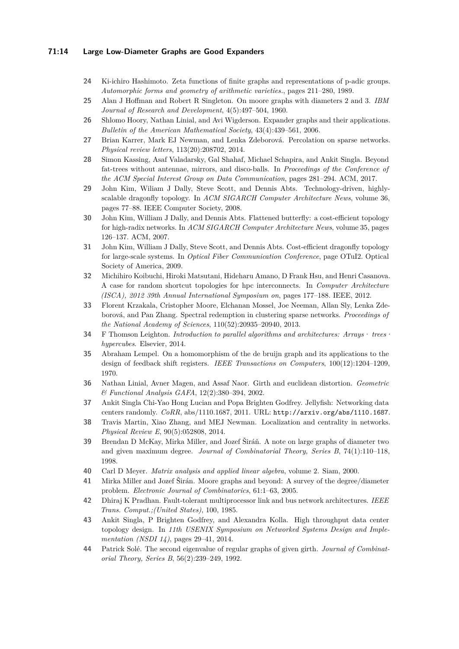### **71:14 Large Low-Diameter Graphs are Good Expanders**

- <span id="page-13-5"></span>**24** Ki-ichiro Hashimoto. Zeta functions of finite graphs and representations of p-adic groups. *Automorphic forms and geometry of arithmetic varieties.*, pages 211–280, 1989.
- <span id="page-13-1"></span>**25** Alan J Hoffman and Robert R Singleton. On moore graphs with diameters 2 and 3. *IBM Journal of Research and Development*, 4(5):497–504, 1960.
- <span id="page-13-0"></span>**26** Shlomo Hoory, Nathan Linial, and Avi Wigderson. Expander graphs and their applications. *Bulletin of the American Mathematical Society*, 43(4):439–561, 2006.
- <span id="page-13-8"></span>**27** Brian Karrer, Mark EJ Newman, and Lenka Zdeborová. Percolation on sparse networks. *Physical review letters*, 113(20):208702, 2014.
- <span id="page-13-17"></span>**28** Simon Kassing, Asaf Valadarsky, Gal Shahaf, Michael Schapira, and Ankit Singla. Beyond fat-trees without antennae, mirrors, and disco-balls. In *Proceedings of the Conference of the ACM Special Interest Group on Data Communication*, pages 281–294. ACM, 2017.
- <span id="page-13-9"></span>**29** John Kim, Wiliam J Dally, Steve Scott, and Dennis Abts. Technology-driven, highlyscalable dragonfly topology. In *ACM SIGARCH Computer Architecture News*, volume 36, pages 77–88. IEEE Computer Society, 2008.
- <span id="page-13-10"></span>**30** John Kim, William J Dally, and Dennis Abts. Flattened butterfly: a cost-efficient topology for high-radix networks. In *ACM SIGARCH Computer Architecture News*, volume 35, pages 126–137. ACM, 2007.
- <span id="page-13-13"></span>**31** John Kim, William J Dally, Steve Scott, and Dennis Abts. Cost-efficient dragonfly topology for large-scale systems. In *Optical Fiber Communication Conference*, page OTuI2. Optical Society of America, 2009.
- <span id="page-13-16"></span>**32** Michihiro Koibuchi, Hiroki Matsutani, Hideharu Amano, D Frank Hsu, and Henri Casanova. A case for random shortcut topologies for hpc interconnects. In *Computer Architecture (ISCA), 2012 39th Annual International Symposium on*, pages 177–188. IEEE, 2012.
- <span id="page-13-7"></span>**33** Florent Krzakala, Cristopher Moore, Elchanan Mossel, Joe Neeman, Allan Sly, Lenka Zdeborová, and Pan Zhang. Spectral redemption in clustering sparse networks. *Proceedings of the National Academy of Sciences*, 110(52):20935–20940, 2013.
- <span id="page-13-11"></span>**34** F Thomson Leighton. *Introduction to parallel algorithms and architectures: Arrays· trees· hypercubes*. Elsevier, 2014.
- <span id="page-13-18"></span>**35** Abraham Lempel. On a homomorphism of the de bruijn graph and its applications to the design of feedback shift registers. *IEEE Transactions on Computers*, 100(12):1204–1209, 1970.
- <span id="page-13-19"></span>**36** Nathan Linial, Avner Magen, and Assaf Naor. Girth and euclidean distortion. *Geometric & Functional Analysis GAFA*, 12(2):380–394, 2002.
- <span id="page-13-15"></span>**37** Ankit Singla Chi-Yao Hong Lucian and Popa Brighten Godfrey. Jellyfish: Networking data centers randomly. *CoRR*, abs/1110.1687, 2011. URL: <http://arxiv.org/abs/1110.1687>.
- <span id="page-13-6"></span>**38** Travis Martin, Xiao Zhang, and MEJ Newman. Localization and centrality in networks. *Physical Review E*, 90(5):052808, 2014.
- <span id="page-13-3"></span>**39** Brendan D McKay, Mirka Miller, and Jozef Širáň. A note on large graphs of diameter two and given maximum degree. *Journal of Combinatorial Theory, Series B*, 74(1):110–118, 1998.
- <span id="page-13-20"></span>**40** Carl D Meyer. *Matrix analysis and applied linear algebra*, volume 2. Siam, 2000.
- <span id="page-13-2"></span>**41** Mirka Miller and Jozef Širán. Moore graphs and beyond: A survey of the degree/diameter problem. *Electronic Journal of Combinatorics*, 61:1–63, 2005.
- <span id="page-13-12"></span>**42** Dhiraj K Pradhan. Fault-tolerant multiprocessor link and bus network architectures. *IEEE Trans. Comput.;(United States)*, 100, 1985.
- <span id="page-13-14"></span>**43** Ankit Singla, P Brighten Godfrey, and Alexandra Kolla. High throughput data center topology design. In *11th USENIX Symposium on Networked Systems Design and Implementation (NSDI 14)*, pages 29–41, 2014.
- <span id="page-13-4"></span>**44** Patrick Solé. The second eigenvalue of regular graphs of given girth. *Journal of Combinatorial Theory, Series B*, 56(2):239–249, 1992.